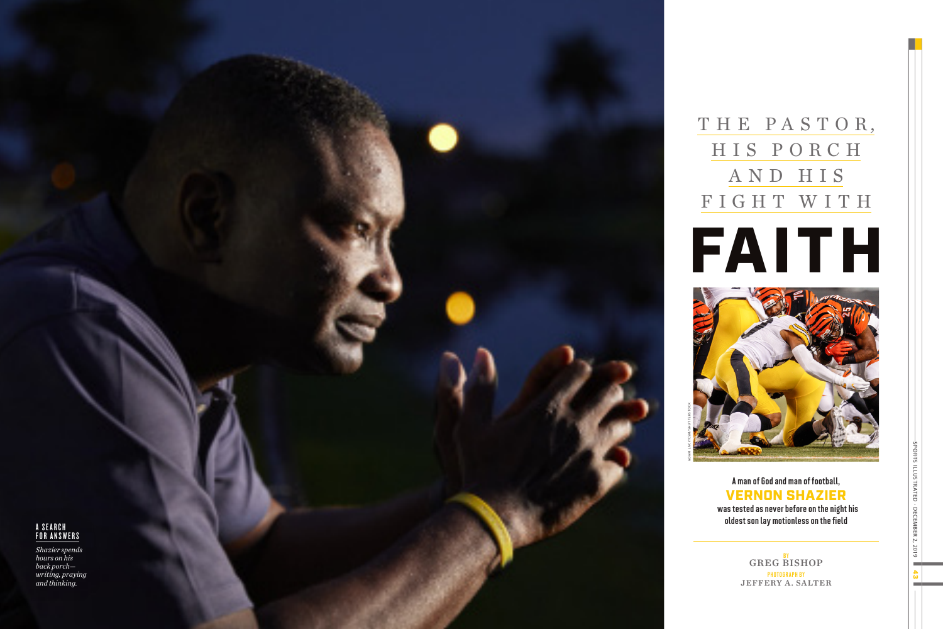

# THE PA STO R , HIS PORCH AND HIS FIGHT WITH

43 SPORTS ILLUSTRATED • DECEMBER 2, 2019  $S$ <del>PORT</del>S ILLUSTRATED - DECEMBER 2, 2019

A man of God and man of football, VERNON SHAZIER was tested as never before on the night his

oldest son lay motionless on the field

BY GREG BISHOP PHOTOGRAPH BY JEFFERY A. SALTER

# A S E A R C H FOR ANSWERS

*Shazier spends hours on his back porch writing, praying and thinking.*



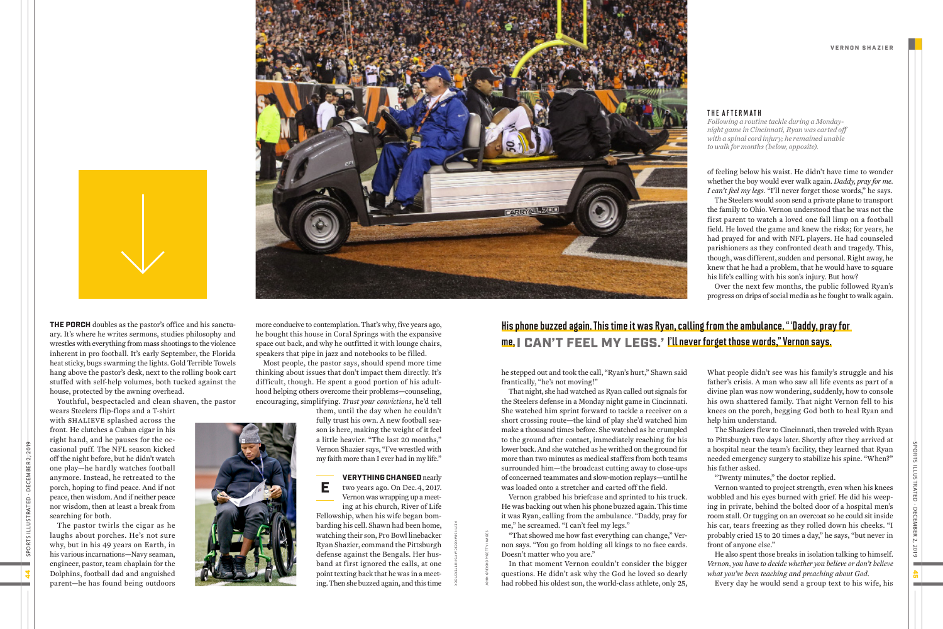more conducive to contemplation. That's why, five years ago, he bought this house in Coral Springs with the expansive space out back, and why he outfitted it with lounge chairs, speakers that pipe in jazz and notebooks to be filled.

Most people, the pastor says, should spend more time thinking about issues that don't impact them directly. It's difficult, though. He spent a good portion of his adulthood helping others overcome their problems—counseling, encouraging, simplifying. *Trust your convictions*, he'd tell

> them, until the day when he couldn't fully trust his own. A new football season is here, making the weight of it feel a little heavier. "The last 20 months," Vernon Shazier says, "I've wrestled with my faith more than I ever had in my life."

### VERYTHING CHANGED nearly two years ago. On Dec. 4, 2017.

E Vernon was wrapping up a meeting at his church, River of Life

Fellowship, when his wife began bombarding his cell. Shawn had been home, watching their son, Pro Bowl linebacker Ryan Shazier, command the Pittsburgh defense against the Bengals. Her husband at first ignored the calls, at one point texting back that he was in a meeting. Then she buzzed again, and this time

of feeling below his waist. He didn't have time to wonder whether the boy would ever walk again. *Daddy, pray for me. I can't feel my legs.* "I'll never forget those words," he says. The Steelers would soon send a private plane to transport the family to Ohio. Vernon understood that he was not the first parent to watch a loved one fall limp on a football field. He loved the game and knew the risks; for years, he had prayed for and with NFL players. He had counseled parishioners as they confronted death and tragedy. This, though, was different, sudden and personal. Right away, he knew that he had a problem, that he would have to square his life's calling with his son's injury. But how?

Over the next few months, the public followed Ryan's progress on drips of social media as he fought to walk again.

What people didn't see was his family's struggle and his father's crisis. A man who saw all life events as part of a divine plan was now wondering, suddenly, how to console his own shattered family. That night Vernon fell to his knees on the porch, begging God both to heal Ryan and help him understand. The Shaziers flew to Cincinnati, then traveled with Ryan

to Pittsburgh two days later. Shortly after they arrived at a hospital near the team's facility, they learned that Ryan needed emergency surgery to stabilize his spine. "When?"

his father asked.

"Twenty minutes," the doctor replied.

Vernon wanted to project strength, even when his knees wobbled and his eyes burned with grief. He did his weeping in private, behind the bolted door of a hospital men's room stall. Or tugging on an overcoat so he could sit inside his car, tears freezing as they rolled down his cheeks. "I probably cried 15 to 20 times a day," he says, "but never in

front of anyone else."



He also spent those breaks in isolation talking to himself. *Vernon, you have to decide whether you believe or don't believe what you've been teaching and preaching about God.*

Every day he would send a group text to his wife, his

he stepped out and took the call, "Ryan's hurt," Shawn said frantically, "he's not moving!"

That night, she had watched as Ryan called out signals for the Steelers defense in a Monday night game in Cincinnati. She watched him sprint forward to tackle a receiver on a short crossing route—the kind of play she'd watched him make a thousand times before. She watched as he crumpled to the ground after contact, immediately reaching for his lower back. And she watched as he writhed on the ground for more than two minutes as medical staffers from both teams surrounded him—the broadcast cutting away to close-ups of concerned teammates and slow-motion replays—until he was loaded onto a stretcher and carted off the field.

Vernon grabbed his briefcase and sprinted to his truck. He was backing out when his phone buzzed again. This time it was Ryan, calling from the ambulance. "Daddy, pray for me," he screamed. "I can't feel my legs."

"That showed me how fast everything can change," Vernon says. "You go from holding all kings to no face cards. Doesn't matter who you are."

In that moment Vernon couldn't consider the bigger questions. He didn't ask why the God he loved so dearly had robbed his oldest son, the world-class athlete, only 25,



THE PORCH doubles as the pastor's office and his sanctuary. It's where he writes sermons, studies philosophy and wrestles with everything from mass shootings to the violence inherent in pro football. It's early September, the Florida heat sticky, bugs swarming the lights. Gold Terrible Towels hang above the pastor's desk, next to the rolling book cart stuffed with self-help volumes, both tucked against the house, protected by the awning overhead.

Youthful, bespectacled and clean shaven, the pastor





KEITH SRAKOCIC/AP/SHUT TERSTOCK

## THE AFTERMATH

*Following a routine tackle during a Mondaynight game in Cincinnati, Ryan was carted off with a spinal cord injury; he remained unable to walk for months (below, opposite).*

JOHN GREISHOP/GET TY IMAGES

# His phone buzzed again. This time it was Ryan, calling from the ambulance. "'Daddy, pray for me,I CAN'T FEEL MY LEGS.' I'll never forget those words," Vernon says.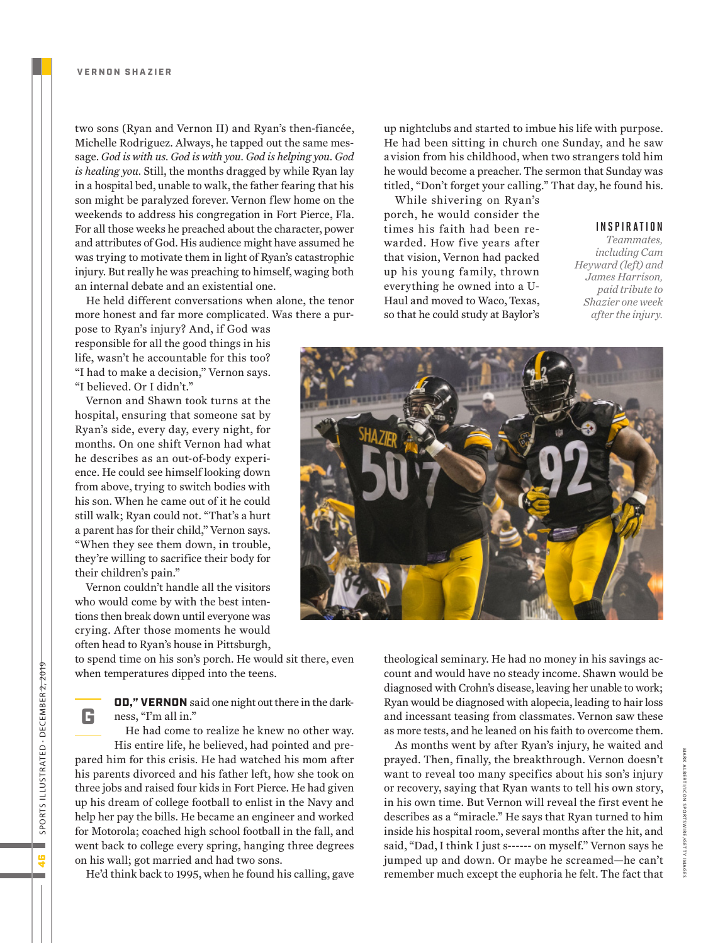two sons (Ryan and Vernon II) and Ryan's then-fiancée, Michelle Rodriguez. Always, he tapped out the same message. *God is with us. God is with you. God is helping you. God is healing you.* Still, the months dragged by while Ryan lay in a hospital bed, unable to walk, the father fearing that his son might be paralyzed forever. Vernon flew home on the weekends to address his congregation in Fort Pierce, Fla. For all those weeks he preached about the character, power and attributes of God. His audience might have assumed he was trying to motivate them in light of Ryan's catastrophic injury. But really he was preaching to himself, waging both an internal debate and an existential one.

He held different conversations when alone, the tenor more honest and far more complicated. Was there a pur-

pose to Ryan's injury? And, if God was responsible for all the good things in his life, wasn't he accountable for this too? "I had to make a decision," Vernon says. "I believed. Or I didn't."

Vernon and Shawn took turns at the hospital, ensuring that someone sat by Ryan's side, every day, every night, for months. On one shift Vernon had what he describes as an out-of-body experience. He could see himself looking down from above, trying to switch bodies with his son. When he came out of it he could still walk; Ryan could not. "That's a hurt a parent has for their child," Vernon says. "When they see them down, in trouble, they're willing to sacrifice their body for their children's pain."

Vernon couldn't handle all the visitors who would come by with the best intentions then break down until everyone was crying. After those moments he would often head to Ryan's house in Pittsburgh,

to spend time on his son's porch. He would sit there, even when temperatures dipped into the teens.

> OD," VERNON said one night out there in the darkness, "I'm all in."

He had come to realize he knew no other way. His entire life, he believed, had pointed and prepared him for this crisis. He had watched his mom after his parents divorced and his father left, how she took on three jobs and raised four kids in Fort Pierce. He had given up his dream of college football to enlist in the Navy and help her pay the bills. He became an engineer and worked for Motorola; coached high school football in the fall, and went back to college every spring, hanging three degrees on his wall; got married and had two sons.

He'd think back to 1995, when he found his calling, gave

up nightclubs and started to imbue his life with purpose. He had been sitting in church one Sunday, and he saw a vision from his childhood, when two strangers told him he would become a preacher. The sermon that Sunday was titled, "Don't forget your calling." That day, he found his.

While shivering on Ryan's porch, he would consider the times his faith had been rewarded. How five years after that vision, Vernon had packed up his young family, thrown everything he owned into a U-Haul and moved to Waco, Texas, so that he could study at Baylor's

#### INSPIRATION

*Teammates, including Cam Heyward (left) and James Harrison, paid tribute to Shazier one week after the injury.*



theological seminary. He had no money in his savings account and would have no steady income. Shawn would be diagnosed with Crohn's disease, leaving her unable to work; Ryan would be diagnosed with alopecia, leading to hair loss and incessant teasing from classmates. Vernon saw these as more tests, and he leaned on his faith to overcome them.

As months went by after Ryan's injury, he waited and prayed. Then, finally, the breakthrough. Vernon doesn't want to reveal too many specifics about his son's injury or recovery, saying that Ryan wants to tell his own story, in his own time. But Vernon will reveal the first event he describes as a "miracle." He says that Ryan turned to him inside his hospital room, several months after the hit, and said, "Dad, I think I just s------ on myself." Vernon says he jumped up and down. Or maybe he screamed—he can't remember much except the euphoria he felt. The fact that

 $\frac{4}{3}$ 

G